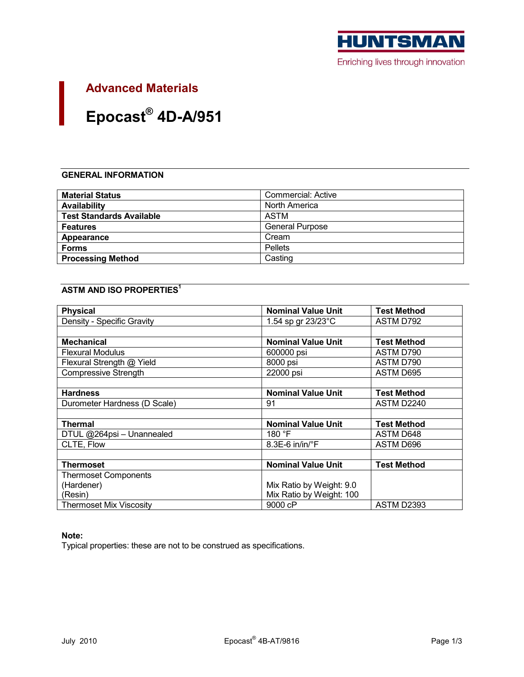

# **Advanced Materials**

# Epocast® 4D-A/951

# **GENERAL INFORMATION**

| <b>Material Status</b>          | Commercial: Active     |
|---------------------------------|------------------------|
| <b>Availability</b>             | North America          |
| <b>Test Standards Available</b> | ASTM                   |
| <b>Features</b>                 | <b>General Purpose</b> |
| Appearance                      | Cream                  |
| <b>Forms</b>                    | <b>Pellets</b>         |
| <b>Processing Method</b>        | Casting                |

# **ASTM AND ISO PROPERTIES<sup>1</sup>**

| <b>Physical</b>                | <b>Nominal Value Unit</b>   | <b>Test Method</b> |
|--------------------------------|-----------------------------|--------------------|
| Density - Specific Gravity     | 1.54 sp gr 23/23°C          | ASTM D792          |
|                                |                             |                    |
| <b>Mechanical</b>              | <b>Nominal Value Unit</b>   | <b>Test Method</b> |
| <b>Flexural Modulus</b>        | 600000 psi                  | ASTM D790          |
| Flexural Strength @ Yield      | 8000 psi                    | ASTM D790          |
| <b>Compressive Strength</b>    | 22000 psi                   | ASTM D695          |
|                                |                             |                    |
| <b>Hardness</b>                | <b>Nominal Value Unit</b>   | <b>Test Method</b> |
| Durometer Hardness (D Scale)   | 91                          | ASTM D2240         |
|                                |                             |                    |
| <b>Thermal</b>                 | <b>Nominal Value Unit</b>   | <b>Test Method</b> |
| DTUL @264psi - Unannealed      | 180 $\degree$ F             | ASTM D648          |
| CLTE, Flow                     | $8.3E-6$ in/in/ $\degree$ F | ASTM D696          |
|                                |                             |                    |
| <b>Thermoset</b>               | <b>Nominal Value Unit</b>   | <b>Test Method</b> |
| <b>Thermoset Components</b>    |                             |                    |
| (Hardener)                     | Mix Ratio by Weight: 9.0    |                    |
| (Resin)                        | Mix Ratio by Weight: 100    |                    |
| <b>Thermoset Mix Viscosity</b> | 9000 cP                     | ASTM D2393         |

# Note:

Typical properties: these are not to be construed as specifications.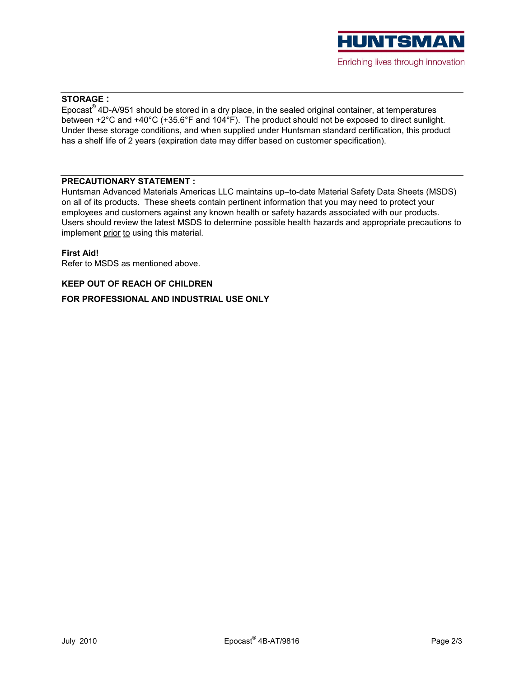

# **STORAGE:**

 $Epocast^{\circ}$  4D-A/951 should be stored in a dry place, in the sealed original container, at temperatures between +2°C and +40°C (+35.6°F and 104°F). The product should not be exposed to direct sunlight. Under these storage conditions, and when supplied under Huntsman standard certification, this product has a shelf life of 2 years (expiration date may differ based on customer specification).

### **PRECAUTIONARY STATEMENT:**

Huntsman Advanced Materials Americas LLC maintains up-to-date Material Safety Data Sheets (MSDS) on all of its products. These sheets contain pertinent information that you may need to protect your employees and customers against any known health or safety hazards associated with our products. Users should review the latest MSDS to determine possible health hazards and appropriate precautions to implement prior to using this material.

#### **First Aid!**

Refer to MSDS as mentioned above.

#### **KEEP OUT OF REACH OF CHILDREN**

FOR PROFESSIONAL AND INDUSTRIAL USE ONLY